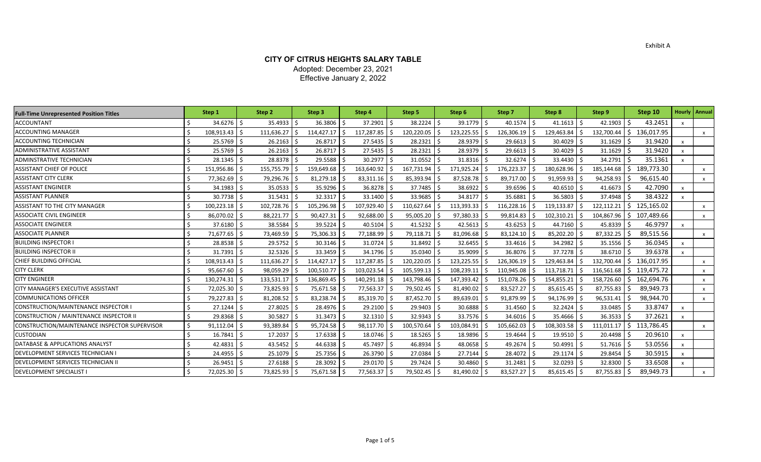## **CITY OF CITRUS HEIGHTS SALARY TABLE** Adopted: December 23, 2021 Effective January 2, 2022

| <b>Full-Time Unrepresented Position Titles</b> | Step 1      |      | Step 2     | Step 3     |    | Step 4       |     | Step 5       | Step 6          | Step 7        | Step 8         | Step 9     |    | Step 10    |                           | <b>Hourly   Annual</b>    |
|------------------------------------------------|-------------|------|------------|------------|----|--------------|-----|--------------|-----------------|---------------|----------------|------------|----|------------|---------------------------|---------------------------|
| ACCOUNTANT                                     | 34.6276     |      | 35.4933    | 36.3806    |    | 37.2901      |     | 38.2224      | 39.1779 \$      | 40.1574       | 41.1613        | 42.1903    |    | 43.2451    |                           |                           |
| <b>ACCOUNTING MANAGER</b>                      | 108,913.43  |      | 111,636.27 | 114,427.17 |    | 117,287.85   |     | 120,220.05   | 123,225.55      | 126,306.19    | 129,463.84     | 132,700.44 | Ś  | 136,017.95 |                           | $\mathsf{x}$              |
| ACCOUNTING TECHNICIAN                          | 25.5769     |      | 26.2163    | 26.8717    |    | 27.5435      |     | 28.2321      | 28.9379         | 29.6613       | 30.4029        | 31.1629    |    | 31.9420    | $\boldsymbol{\mathsf{x}}$ |                           |
| <b>ADMINISTRATIVE ASSISTANT</b>                | 25.5769     |      | 26.2163    | 26.8717    | -Ś | 27.5435      |     | 28.2321      | 28.9379         | 29.6613       | 30.4029        | 31.1629    |    | 31.9420    | $\boldsymbol{\mathsf{x}}$ |                           |
| ADMINSTRATIVE TECHNICIAN                       | 28.1345     |      | 28.8378    | 29.5588    |    | 30.2977      |     | $31.0552$ \$ | 31.8316 \$      | 32.6274       | 33.4430        | 34.2791    |    | 35.1361    |                           |                           |
| ASSISTANT CHIEF OF POLICE                      | 151,956.86  |      | 155,755.79 | 159,649.68 |    | 163,640.92   |     | 167,731.94   | 171,925.24      | 176,223.37 \$ | 180,628.96     | 185,144.68 | S  | 189,773.30 |                           | $\boldsymbol{\mathsf{x}}$ |
| ASSISTANT CITY CLERK                           | 77,362.69   |      | 79,296.76  | 81,279.18  |    | 83,311.16    |     | 85,393.94 \$ | $87,528.78$ \$  | 89,717.00     | 91,959.93      | 94,258.93  |    | 96,615.40  |                           | X                         |
| <b>ASSISTANT ENGINEER</b>                      | 34.1983     |      | 35.0533    | 35.9296    |    | $36.8278$ \$ |     | 37.7485 \$   | 38.6922 \$      | 39.6596 \$    | $40.6510$ \$   | 41.6673    |    | 42.7090    | $\boldsymbol{\mathsf{x}}$ |                           |
| <b>ASSISTANT PLANNER</b>                       | 30.7738     |      | 31.5431    | 32.3317    |    | 33.1400      |     | 33.9685      | 34.8177 \$      | 35.6881       | 36.5803        | 37.4948    |    | 38.4322    | $\mathbf{x}$              |                           |
| <b>ASSISTANT TO THE CITY MANAGER</b>           | 100,223.18  |      | 102,728.76 | 105,296.98 |    | 107,929.40   |     | 110,627.64   | 113,393.33      | 116,228.16    | 119,133.87     | 122,112.21 | Ŝ. | 125,165.02 |                           | $\mathsf{x}$              |
| <b>ASSOCIATE CIVIL ENGINEER</b>                | 86,070.02   |      | 88,221.77  | 90,427.31  |    | 92,688.00    |     | 95,005.20    | 97,380.33 \$    | 99,814.83     | 102,310.21     | 104,867.96 | Ŝ. | 107,489.66 |                           | $\mathsf{x}$              |
| <b>ASSOCIATE ENGINEER</b>                      | $37.6180$ S |      | 38.5584    | 39.5224    | -Ś | $40.5104$ \$ |     | $41.5232$ \$ | $42.5613$ \$    | $43.6253$ \$  | 44.7160 \$     | 45.8339    |    | 46.9797    | $\boldsymbol{\mathsf{x}}$ |                           |
| <b>ASSOCIATE PLANNER</b>                       | 71,677.65   |      | 73,469.59  | 75,306.33  |    | 77,188.99    |     | 79,118.71    | 81,096.68       | 83,124.10     | 85,202.20      | 87,332.25  |    | 89,515.56  |                           | $\mathsf{x}$              |
| <b>BUILDING INSPECTOR I</b>                    | 28.8538     |      | 29.5752    | 30.3146    |    | 31.0724      |     | 31.8492      | $32.6455$ \$    | 33.4616       | 34.2982        | 35.1556    |    | 36.0345    | $\boldsymbol{\mathsf{x}}$ |                           |
| <b>BUILDING INSPECTOR II</b>                   | 31.7391     |      | 32.5326    | 33.3459    |    | 34.1796      |     | 35.0340      | 35.9099 \$      | 36.8076       | 37.7278        | 38.6710    |    | 39.6378    | $\mathsf{x}$              |                           |
| CHIEF BUILDING OFFICIAL                        | 108,913.43  |      | 111,636.27 | 114,427.17 | -S | 117,287.85   |     | 120,220.05   | $123,225.55$ \$ | 126,306.19    | 129,463.84     | 132,700.44 | Ŝ. | 136,017.95 |                           | $\mathsf{x}$              |
| <b>CITY CLERK</b>                              | 95,667.60   |      | 98,059.29  | 100,510.77 |    | 103,023.54   |     | 105,599.13   | 108,239.13      | 110,945.08    | 113,718.71     | 116,561.68 | S. | 119,475.72 |                           | $\mathsf{x}$              |
| <b>CITY ENGINEER</b>                           | 130,274.31  |      | 133,531.17 | 136,869.45 |    | 140,291.18   |     | 143,798.46   | 147,393.42      | 151,078.26    | 154,855.21     | 158,726.60 | Ŝ. | 162,694.76 |                           | $\mathsf{x}$              |
| CITY MANAGER'S EXECUTIVE ASSISTANT             | 72,025.30   |      | 73,825.93  | 75,671.58  |    | 77,563.37    |     | 79,502.45    | 81,490.02 \$    | 83,527.27     | 85,615.45      | 87,755.83  |    | 89,949.73  |                           | $\boldsymbol{\mathsf{x}}$ |
| COMMUNICATIONS OFFICER                         | 79,227.83   |      | 81,208.52  | 83,238.74  |    | 85,319.70    |     | 87,452.70    | 89,639.01       | 91,879.99     | 94,176.99      | 96,531.41  |    | 98,944.70  |                           | $\mathsf{x}$              |
| CONSTRUCTION/MAINTENANCE INSPECTOR I           | 27.1244     |      | 27.8025    | 28.4976    |    | 29.2100      |     | 29.9403      | 30.6888         | 31.4560       | 32.2424        | 33.0485    |    | 33.8747    | $\boldsymbol{\mathsf{x}}$ |                           |
| CONSTRUCTION / MAINTENANCE INSPECTOR II        | 29.8368     |      | 30.5827    | 31.3473    |    | 32.1310      |     | 32.9343      | 33.7576         | 34.6016       | 35.4666        | 36.3533    |    | 37.2621    | $\boldsymbol{\mathsf{x}}$ |                           |
| CONSTRUCTION/MAINTENANCE INSPECTOR SUPERVISOR  | 91,112.04   |      | 93,389.84  | 95,724.58  |    | 98,117.70    |     | 100,570.64   | 103,084.91      | 105,662.03    | 108,303.58     | 111,011.17 | S. | 113,786.45 |                           | $\mathsf{x}$              |
| CUSTODIAN                                      | 16.7841     |      | 17.2037    | 17.6338    |    | 18.0746      |     | $18.5265$ \$ | 18.9896 \$      | 19.4644       | 19.9510        | 20.4498    |    | 20.9610    | $\boldsymbol{\mathsf{x}}$ |                           |
| DATABASE & APPLICATIONS ANALYST                | 42.4831     |      | 43.5452    | 44.6338    |    | 45.7497      |     | 46.8934      | 48.0658 \$      | 49.2674 \$    | $50.4991$ \$   | 51.7616    |    | 53.0556    | $\boldsymbol{\mathsf{x}}$ |                           |
| DEVELOPMENT SERVICES TECHNICIAN I              | 24.4955     |      | 25.1079    | 25.7356    | -Ś | 26.3790      | l S | 27.0384 \$   | $27.7144$ \$    | 28.4072 \$    | $29.1174$ \$   | 29.8454    |    | 30.5915    | $\boldsymbol{\mathsf{x}}$ |                           |
| DEVELOPMENT SERVICES TECHNICIAN II             | 26.9451     |      | 27.6188    | 28.3092    |    | 29.0170 \$   |     | 29.7424 \$   | 30.4860 \$      | $31.2481$ \$  | $32.0293$ \$   | 32.8300    |    | 33.6508    | $\boldsymbol{\mathsf{x}}$ |                           |
| <b>DEVELOPMENT SPECIALIST I</b>                | 72,025.30   | l \$ | 73,825.93  | 75,671.58  | -Ś | 77,563.37    |     | 79,502.45 \$ | 81,490.02 \$    | 83,527.27 \$  | $85,615.45$ \$ | 87,755.83  |    | 89,949.73  |                           | $\mathsf{x}$              |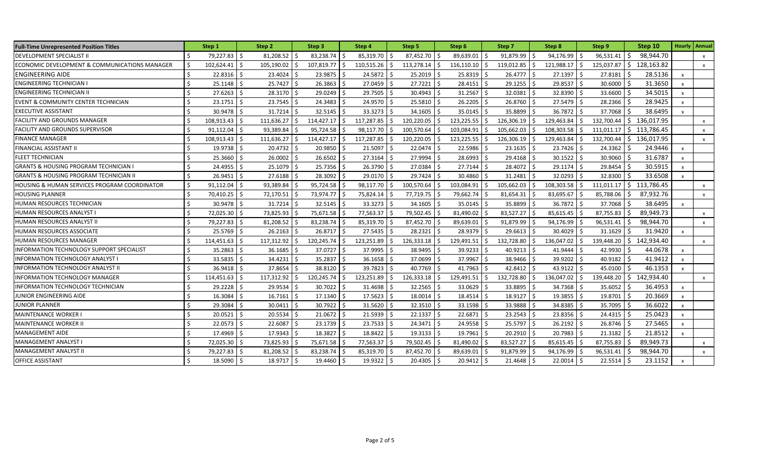| <b>Full-Time Unrepresented Position Titles</b>   |         | Step 1         |      | Step 2     |     | Step 3     |      | Step 4          |      | Step 5       |      | Step 6       |    | Step 7     |     | Step 8     | Step 9     | Step 10                                |                           | <b>Hourly   Annual</b>    |
|--------------------------------------------------|---------|----------------|------|------------|-----|------------|------|-----------------|------|--------------|------|--------------|----|------------|-----|------------|------------|----------------------------------------|---------------------------|---------------------------|
| DEVELOPMENT SPECIALIST II                        |         | 79,227.83      | l ś  | 81,208.52  |     | 83,238.74  |      | 85,319.70       |      | 87,452.70    |      | 89,639.01    |    | 91,879.99  |     | 94,176.99  | 96,531.41  | 98,944.70<br>-S                        |                           | $\boldsymbol{\mathsf{x}}$ |
| ECONOMIC DEVELOPMENT & COMMUNICATIONS MANAGER    | Ś.      | 102,624.41     | I \$ | 105,190.02 | -Ś  | 107,819.77 | -Ś   | $110,515.26$ \$ |      | 113,278.14   | l \$ | 116,110.10   | Ŝ. | 119,012.85 |     | 121,988.17 | 125,037.87 | Ŝ.<br>128,163.82                       |                           | $\mathsf{x}$              |
| <b>ENGINEERING AIDE</b>                          | -\$     | $22.8316$ \$   |      | 23.4024    |     | 23.9875    |      | 24.5872         |      | 25.2019      |      | 25.8319      |    | 26.4777    |     | 27.1397    | 27.8181    | 28.5136<br>-S                          | $\mathsf{x}$              |                           |
| <b>ENGINEERING TECHNICIAN I</b>                  | Ŝ.      | $25.1148$ \$   |      | 25.7427    | -Ś  | 26.3863    | l S  | 27.0459 \$      |      | $27.7221$ \$ |      | 28.4151      |    | 29.1255    |     | 29.8537    | 30.6000    | 31.3650                                | $\mathsf{x}$              |                           |
| ENGINEERING TECHNICIAN II                        | -Ś      | 27.6263        | I \$ | 28.3170    | -Ś  | 29.0249    |      | 29.7505 \$      |      | 30.4943      |      | $31.2567$ \$ |    | 32.0381    |     | 32.8390    | 33.6600    | 34.5015                                | $\boldsymbol{\mathsf{x}}$ |                           |
| EVENT & COMMUNITY CENTER TECHNICIAN              | Ŝ.      | 23.1751        |      | 23.7545    | -Ś  | 24.3483    |      | 24.9570         |      | 25.5810      |      | 26.2205      |    | 26.8760    |     | 27.5479    | 28.2366    | 28.9425                                | $\boldsymbol{\mathsf{x}}$ |                           |
| <b>EXECUTIVE ASSISTANT</b>                       | -Ś      | $30.9478$ S    |      | 31.7214    |     | 32.5145    |      | 33.3273 \$      |      | $34.1605$ S  |      | 35.0145      |    | 35.8899    |     | 36.7872    | 37.7068    | 38.6495                                | $\boldsymbol{\mathsf{x}}$ |                           |
| <b>FACILITY AND GROUNDS MANAGER</b>              | ς.      | 108,913.43     | I \$ | 111,636.27 | Ŝ.  | 114,427.17 |      | 117,287.85      |      | 120,220.05   |      | 123,225.55   |    | 126,306.19 |     | 129,463.84 | 132,700.44 | 136,017.95<br>S.                       |                           | $\boldsymbol{\mathsf{x}}$ |
| <b>FACILITY AND GROUNDS SUPERVISOR</b>           | $\zeta$ | 91,112.04      | l ś  | 93,389.84  |     | 95,724.58  |      | 98,117.70       |      | 100,570.64   |      | 103,084.91   |    | 105,662.03 |     | 108,303.58 | 111,011.17 | Ŝ.<br>113,786.45                       |                           | $\boldsymbol{\mathsf{x}}$ |
| <b>FINANCE MANAGER</b>                           | Ŝ.      | 108,913.43     | l S  | 111,636.27 | S   | 114,427.17 |      | 117,287.85      |      | 120,220.05   |      | 123,225.55   |    | 126,306.19 |     | 129,463.84 | 132,700.44 | $\overline{\phantom{0}}$<br>136,017.95 |                           | $\mathsf{x}$              |
| FINANCIAL ASSISTANT II                           | -\$     | $19.9738$ \$   |      | 20.4732    | -Ś  | 20.9850    |      | 21.5097         |      | 22.0474      |      | 22.5986      |    | 23.1635    |     | 23.7426    | 24.3362    | 24.9446<br>-S                          | $\pmb{\chi}$              |                           |
| FLEET TECHNICIAN                                 | $\zeta$ | 25.3660 \$     |      | 26.0002    | -Ś  | 26.6502    | l S  | $27.3164$ \$    |      | 27.9994      |      | 28.6993      |    | 29.4168    |     | 30.1522    | 30.9060    | 31.6787                                | $\boldsymbol{\mathsf{x}}$ |                           |
| <b>GRANTS &amp; HOUSING PROGRAM TECHNICIAN I</b> | Ŝ.      | $24.4955$ \$   |      | 25.1079    | ۱Ś  | 25.7356    | l \$ | 26.3790 \$      |      | 27.0384      |      | 27.7144 \$   |    | 28.4072    |     | 29.1174    | 29.8454    | 30.5915                                | $\boldsymbol{\mathsf{x}}$ |                           |
| GRANTS & HOUSING PROGRAM TECHNICIAN II           | Ŝ.      | 26.9451 \$     |      | 27.6188    |     | 28.3092    |      | 29.0170         |      | 29.7424      |      | 30.4860      |    | 31.2481    |     | 32.0293    | 32.8300    | 33.6508                                | $\boldsymbol{\mathsf{x}}$ |                           |
| HOUSING & HUMAN SERVICES PROGRAM COORDINATOR     | -\$     | $91,112.04$ \$ |      | 93,389.84  |     | 95,724.58  |      | 98,117.70       |      | 100,570.64   |      | 103,084.91   |    | 105,662.03 |     | 108,303.58 | 111,011.17 | $5$ 113,786.45                         |                           | $\mathsf{x}$              |
| <b>HOUSING PLANNER</b>                           | Ŝ.      | 70,410.25      | l \$ | 72,170.51  | -Ś  | 73,974.77  |      | 75,824.14 \$    |      | 77,719.75    |      | 79,662.74    |    | 81,654.31  |     | 83,695.67  | 85,788.06  | 87,932.76                              |                           | $\mathsf{x}$              |
| HUMAN RESOURCES TECHNICIAN                       | Ŝ.      | 30.9478        | I \$ | 31.7214    |     | 32.5145    |      | 33.3273         |      | 34.1605      |      | 35.0145      |    | 35.8899    |     | 36.7872    | 37.7068    | 38.6495                                | $\mathsf{x}$              |                           |
| HUMAN RESOURCES ANALYST I                        | $\zeta$ | 72,025.30      |      | 73,825.93  |     | 75,671.58  |      | 77,563.37       |      | 79,502.45    |      | 81,490.02    |    | 83,527.27  |     | 85,615.45  | 87,755.83  | 89,949.73                              |                           | $\boldsymbol{\mathsf{x}}$ |
| HUMAN RESOURCES ANALYST II                       | Ŝ.      | 79,227.83      | l S  | 81,208.52  | -S  | 83,238.74  |      | 85,319.70       |      | 87,452.70    |      | 89,639.01    |    | 91,879.99  |     | 94,176.99  | 96,531.41  | 98,944.70<br>-S                        |                           | $\boldsymbol{\mathsf{x}}$ |
| HUMAN RESOURCES ASSOCIATE                        | $\zeta$ | 25.5769        |      | 26.2163    |     | 26.8717    |      | 27.5435         |      | 28.2321      |      | 28.9379      |    | 29.6613    |     | 30.4029    | 31.1629    | 31.9420                                | $\boldsymbol{\mathsf{x}}$ |                           |
| HUMAN RESOURCES MANAGER                          | -Ś      | 114,451.63     | l ś  | 117,312.92 | .\$ | 120,245.74 | -Ś   | 123,251.89      |      | 126,333.18   |      | 129,491.51   | Š. | 132,728.80 |     | 136,047.02 | 139,448.20 | 142,934.40<br>S.                       |                           | $\boldsymbol{\mathsf{x}}$ |
| INFORMATION TECHNOLOGY SUPPORT SPECIALIST        | -Ś      | 35.2863        |      | 36.1685    | -S  | 37.0727    |      | 37.9995         |      | 38.9495      |      | 39.9233      |    | 40.9213    |     | 41.9444    | 42.9930    | 44.0678                                | $\boldsymbol{\mathsf{x}}$ |                           |
| INFORMATION TECHNOLOGY ANALYST I                 | Ś.      | 33.5835        |      | 34.4231    | .\$ | 35.2837    |      | 36.1658         |      | 37.0699      |      | 37.9967      |    | 38.9466    |     | 39.9202    | 40.9182    | 41.9412                                | $\boldsymbol{\mathsf{x}}$ |                           |
| <b>INFORMATION TECHNOLOGY ANALYST II</b>         | $\zeta$ | 36.9418        |      | 37.8654    |     | 38.8120    |      | 39.7823 \$      |      | 40.7769      |      | 41.7963      |    | 42.8412    |     | 43.9122    | 45.0100    | 46.1353                                | $\mathsf{x}$              |                           |
| <b>INFORMATION TECHNOLOGY MANAGER</b>            | Ŝ.      | 114,451.63     |      | 117,312.92 | .S  | 120,245.74 | .S   | 123,251.89      | -S   | 126,333.18   |      | 129,491.51   | Ŝ  | 132,728.80 |     | 136,047.02 | 139,448.20 | 142,934.40<br>\$                       |                           | $\mathsf{x}$              |
| INFORMATION TECHNOLOGY TECHNICIAN                | $\zeta$ | 29.2228        |      | 29.9534    |     | 30.7022    |      | 31.4698         |      | 32.2565      |      | 33.0629      |    | 33.8895    |     | 34.7368    | 35.6052    | 36.4953                                | $\boldsymbol{\mathsf{x}}$ |                           |
| JUNIOR ENGINEERING AIDE                          | -Ś      | 16.3084        | I S  | 16.7161    | -S  | 17.1340    | l S  | $17.5623$ \$    |      | 18.0014      |      | $18.4514$ \$ |    | 18.9127    | l S | 19.3855    | 19.8701    | 20.3669<br>-S                          | $\boldsymbol{\mathsf{x}}$ |                           |
| <b>JUNIOR PLANNER</b>                            | Ŝ.      | 29.3084        | l ś  | 30.0411    | -Ś  | 30.7922    | l Ś  | 31.5620         | I \$ | 32.3510      |      | 33.1598      |    | 33.9888    |     | 34.8385    | 35.7095    | 36.6022                                | $\boldsymbol{\mathsf{x}}$ |                           |
| <b>MAINTENANCE WORKER I</b>                      | Ś.      | 20.0521        | l ś  | 20.5534    | -Ś  | 21.0672    | - S  | 21.5939 \$      |      | $22.1337$ \$ |      | 22.6871      | Ŝ. | 23.2543    |     | 23.8356    | 24.4315    | 25.0423                                | $\boldsymbol{\mathsf{x}}$ |                           |
| <b>MAINTENANCE WORKER II</b>                     | Ś.      | $22.0573$ \$   |      | 22.6087    | -Ś  | 23.1739    |      | $23.7533$ \$    |      | 24.3471 \$   |      | 24.9558 \$   |    | 25.5797    |     | 26.2192    | 26.8746    | 27.5465                                | $\boldsymbol{\mathsf{x}}$ |                           |
| <b>MANAGEMENT AIDE</b>                           | Ŝ.      | 17.4969        | I \$ | 17.9343    | -Ś  | 18.3827    |      | 18.8422 \$      |      | 19.3133      |      | 19.7961 \$   |    | 20.2910    |     | 20.7983    | 21.3182    | 21.8512                                | $\boldsymbol{\mathsf{x}}$ |                           |
| MANAGEMENT ANALYST I                             | $\zeta$ | 72,025.30 \$   |      | 73,825.93  |     | 75,671.58  |      | 77,563.37 \$    |      | 79,502.45    |      | 81,490.02    |    | 83,527.27  |     | 85,615.45  | 87,755.83  | 89,949.73                              |                           | $\mathsf{x}$              |
| <b>MANAGEMENT ANALYST II</b>                     | Ŝ.      | 79,227.83      |      | 81,208.52  |     | 83,238.74  |      | 85,319.70       |      | 87,452.70    |      | 89,639.01    |    | 91,879.99  |     | 94,176.99  | 96,531.41  | 98,944.70                              |                           | $\mathsf{x}$              |
| <b>OFFICE ASSISTANT</b>                          | -Ś      | 18.5090 \$     |      | 18.9717    |     | 19.4460    |      | $19.9322$ \$    |      | $20.4305$ \$ |      | $20.9412$ \$ |    | 21.4648    |     | 22.0014    | 22.5514    | 23.1152                                | $\mathsf{x}$              |                           |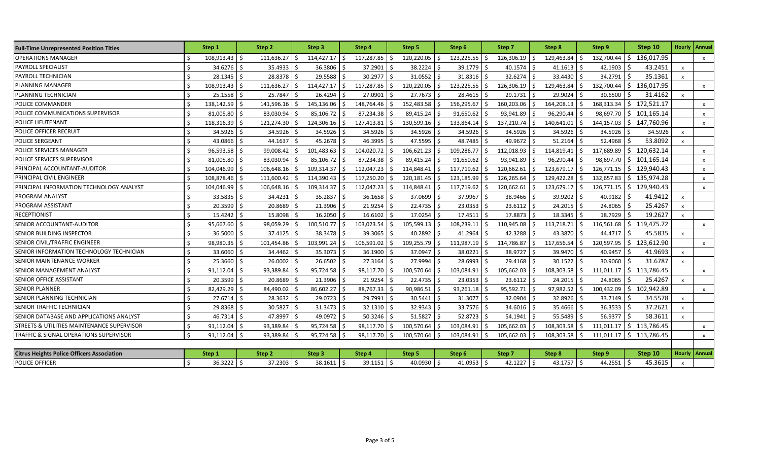| <b>Full-Time Unrepresented Position Titles</b>    | Step 1                          | Step 2            | Step 3             | Step 4             | Step 5                | Step 6           | Step 7           | Step 8           | Step 9                     | Step 10                    |                           | Hourly   Annual           |
|---------------------------------------------------|---------------------------------|-------------------|--------------------|--------------------|-----------------------|------------------|------------------|------------------|----------------------------|----------------------------|---------------------------|---------------------------|
| OPERATIONS MANAGER                                | 108,913.43 \$                   | 111,636.27        | Ŝ.<br>114,427.17   | 117,287.85<br>I\$  | 120,220.05 \$<br>-Ś   | 123,225.55       | 126,306.19<br>Ŝ. | 129,463.84<br>Ŝ. | 132,700.44                 | Ŝ.<br>136,017.95           |                           | $\boldsymbol{\mathsf{x}}$ |
| PAYROLL SPECIALIST                                | Ŝ.<br>34.6276                   | l \$<br>35.4933   | 36.3806<br>Ŝ.      | 37.2901<br>-S      | 38.2224 \$<br>-S      | 39.1779          | Š.<br>40.1574    | Ŝ.               | 42.1903<br>41.1613         | 43.2451                    | $\mathsf{x}$              |                           |
| PAYROLL TECHNICIAN                                | Ŝ.<br>28.1345                   | 28.8378           | 29.5588<br>S.      | 30.2977            | 31.0552<br>-S         | 31.8316          | 32.6274          |                  | 33.4430<br>34.2791         | 35.1361                    | $\mathsf{x}$              |                           |
| PLANNING MANAGER                                  | Ŝ.<br>108,913.43                | 111,636.27        | Ŝ.<br>114,427.17   | 117,287.85<br>I\$  | 120,220.05<br>Ś       | 123,225.55<br>Ŝ. | 126,306.19       | 129,463.84<br>ς. | 132,700.44                 | Ŝ.<br>136,017.95           |                           | $\mathsf{x}$              |
| PLANNING TECHNICIAN                               | 25.1558<br>$\zeta$              | 25.7847           | 26.4294            | 27.0901            | 27.7673               | 28.4615          | 29.1731          |                  | 29.9024<br>30.6500         | 31.4162                    | $\mathsf{x}$              |                           |
| POLICE COMMANDER                                  | 138,142.59                      | 141,596.16        | 145,136.06         | 148,764.46         | 152,483.58            | 156,295.67       | 160,203.06       | 164,208.13       | 168,313.34                 | 172,521.17<br>Ŝ.           |                           | $\mathsf{x}$              |
| POLICE COMMUNICATIONS SUPERVISOR                  | $\mathsf{\hat{S}}$<br>81,005.80 | 83,030.94         | 85,106.72<br>-Ś    | 87,234.38          | 89,415.24             | 91,650.62        | 93,941.89        | 96,290.44        | 98,697.70                  | 101,165.14<br>\$           |                           | $\mathsf{x}$              |
| POLICE LIEUTENANT                                 | Ŝ.<br>118,316.39                | 121,274.30        | 124,306.16<br>-S   | 127,413.81<br>-S   | 130,599.16<br>S       | 133,864.14<br>-S | 137,210.74<br>S  | 140,641.01<br>Ŝ. | 144,157.03                 | 147,760.96<br>S.           |                           | $\mathsf{x}$              |
| POLICE OFFICER RECRUIT                            | Ŝ.<br>34.5926                   | 34.5926<br>l S    | 34.5926<br>Ŝ.      | 34.5926<br>- Ś     | 34.5926 \$<br>l Ś     | 34.5926          | 34.5926          |                  | 34.5926<br>34.5926         | 34.5926                    | $\mathbf{x}$              |                           |
| POLICE SERGEANT                                   | 43.0866<br>Ŝ.                   | 44.1637           | 45.2678<br>-Ś      | 46.3995<br>-S      | 47.5595               | 48.7485          | 49.9672          |                  | 51.2164<br>52.4968         | 53.8092                    | $\mathsf{x}$              |                           |
| POLICE SERVICES MANAGER                           | Ŝ.<br>96,593.58 \$              | 99,008.42         | 101,483.63<br>-Ś   | 104,020.72<br>-S   | $106,621.23$ \$<br>-S | 109,286.77       | 112,018.93<br>Ŝ. | 114,819.41       | 117,689.89                 | 120,632.14<br>Ŝ.           |                           | $\mathsf{x}$              |
| POLICE SERVICES SUPERVISOR                        | Ŝ.<br>81,005.80                 | 83,030.94         | 85,106.72          | 87,234.38          | 89,415.24             | 91,650.62        | 93,941.89        | 96,290.44        | 98,697.70                  | Ŝ.<br>101,165.14           |                           | $\times$                  |
| PRINCIPAL ACCOUNTANT-AUDITOR                      | Ŝ.<br>104,046.99 \$             | 106,648.16        | 109,314.37<br>S.   | 112,047.23<br>IS.  | 114,848.41            | 117,719.62       | 120,662.61       | 123,679.17       | 126,771.15                 | S.<br>129,940.43           |                           | $\boldsymbol{\mathsf{x}}$ |
| PRINCIPAL CIVIL ENGINEER                          | $\zeta$<br>108,878.46           | 111,600.42<br>l ś | 114,390.43<br>-Ś   | 117,250.20<br>- \$ | 120,181.45            | 123,185.99       | 126,265.64       | 129,422.28       | 132,657.83                 | \$135,974.28               |                           | $\boldsymbol{\mathsf{x}}$ |
| PRINCIPAL INFORMATION TECHNOLOGY ANALYST          | 104,046.99                      | 106,648.16        | 109,314.37         | 112,047.23         | 114,848.41            | 117,719.62       | 120,662.61       | 123,679.17       | 126,771.15                 | 129,940.43<br>$\mathsf{S}$ |                           | $\mathsf{x}$              |
| PROGRAM ANALYST                                   | $\zeta$<br>33.5835              | 34.4231           | 35.2837            | 36.1658            | 37.0699               | 37.9967          | 38.9466          |                  | 40.9182<br>39.9202         | 41.9412                    | $\mathsf{x}$              |                           |
| PROGRAM ASSISTANT                                 | $\mathsf{\hat{S}}$<br>20.3599   | 20.8689           | 21.3906            | 21.9254            | 22.4735               | 23.0353          | 23.6112          |                  | 24.2015<br>24.8065         | 25.4267                    | $\mathsf{x}$              |                           |
| RECEPTIONIST                                      | Ŝ.<br>15.4242                   | 15.8098<br>l S    | 16.2050<br>S.      | 16.6102<br>-S      | 17.0254               | 17.4511          | 17.8873          | -Ś               | 18.3345<br>18.7929         | 19.2627                    | $\mathbf{x}$              |                           |
| SENIOR ACCOUNTANT-AUDITOR                         | Ŝ.<br>95,667.60                 | 98,059.29         | 100,510.77         | 103,023.54<br>-Ś   | 105,599.13<br>.S      | 108,239.11<br>-Ś | 110,945.08<br>Š. | 113,718.71       | 116,561.68                 | 119,475.72<br>$\sim$ 5     |                           | $\mathsf{x}$              |
| SENIOR BUILDING INSPECTOR                         | 36.5000 \$<br>Ŝ.                | 37.4125           | 38.3478 \$<br>Ŝ.   | 39.3065 \$         | 40.2892 \$            | 41.2964          | 42.3288          |                  | 43.3870<br>44.4717         | 45.5835                    | $\mathsf{x}$              |                           |
| SENIOR CIVIL/TRAFFIC ENGINEER                     | Ŝ.<br>98,980.35                 | 101,454.86        | 103,991.24<br>-Ś   | 106,591.02<br>-Ś   | 109,255.79<br>Ŝ       | 111,987.19       | 114,786.87<br>Ś  | 117,656.54       | 120,597.95                 | Ŝ.<br>123,612.90           |                           | $\mathsf{x}$              |
| SENIOR INFORMATION TECHNOLOGY TECHNICIAN          | Ŝ.<br>33.6060                   | 34.4462           | 35.3073<br>-Ś      | 36.1900            | 37.0947               | 38.0221          | 38.9727          |                  | 39.9470<br>40.9457         | 41.9693                    | $\boldsymbol{\mathsf{x}}$ |                           |
| SENIOR MAINTENANCE WORKER                         | Ŝ.<br>25.3660                   | 26.0002           | 26.6502<br>Ŝ.      | 27.3164<br>l \$    | 27.9994<br>-S         | 28.6993          | 29.4168          |                  | 30.1522<br>30.9060         | 31.6787                    | $\boldsymbol{\mathsf{x}}$ |                           |
| SENIOR MANAGEMENT ANALYST                         | 91,112.04                       | 93,389.84         | 95,724.58          | 98,117.70          | 100,570.64            | 103,084.91       | 105,662.03       | 108,303.58       | 111,011.17                 | Ŝ.<br>113,786.45           |                           | $\mathsf{x}$              |
| SENIOR OFFICE ASSISTANT                           | Ŝ.<br>20.3599 \$                | 20.8689           | 21.3906<br>Ŝ.      | 21.9254            | 22.4735 \$            | 23.0353          | 23.6112          |                  | 24.2015<br>24.8065         | 25.4267                    | $\mathsf{x}$              |                           |
| <b>SENIOR PLANNER</b>                             | Ŝ.<br>82,429.29                 | 84,490.02         | 86,602.27<br>-S    | 88,767.33          | 90,986.51             | 93,261.18        | 95,592.71        | 97,982.52        | 100,432.09<br>S            | 102,942.89<br>-Ŝ           |                           | $\mathsf{x}$              |
| SENIOR PLANNING TECHNICIAN                        | Ŝ.<br>27.6714 \$                | 28.3632           | Ŝ.<br>29.0723      | 29.7991<br>I \$    | $30.5441$ \$<br>IS.   | 31.3077 \$       | 32.0904          | I S              | 32.8926<br>33.7149<br>- \$ | 34.5578<br>-S              | $\mathbf{x}$              |                           |
| SENIOR TRAFFIC TECHNICIAN                         | Ŝ.<br>29.8368                   | 30.5827           | S.<br>31.3473      | 32.1310<br>l \$    | 32.9343<br>l Ś        | 33.7576          | 34.6016          | l \$             | 36.3533<br>35.4666         | 37.2621                    | $\mathsf{x}$              |                           |
| SENIOR DATABASE AND APPLICATIONS ANALYST          | $46.7314$ \$<br>Ŝ               | 47.8997           | 49.0972<br>-Ś      | 50.3246<br>-Ś      | 51.5827               | 52.8723          | 54.1941          |                  | 55.5489<br>56.9377         | 58.3611                    | $\mathbf{x}$              |                           |
| STREETS & UTILITIES MAINTENANCE SUPERVISOR        | Ŝ.<br>91,112.04                 | 93,389.84         | 95,724.58<br>-Ś    | 98,117.70          | 100,570.64            | 103,084.91       | 105,662.03       | 108,303.58       | 111.011.17                 | 113,786.45<br>Ŝ.           |                           | $\mathsf{x}$              |
| TRAFFIC & SIGNAL OPERATIONS SUPERVISOR            | $\mathsf{S}$<br>91,112.04       | 93,389.84<br>l Ś  | 95,724.58          | 98,117.70          | 100,570.64            | 103,084.91       | 105,662.03       | 108,303.58       | 111,011.17                 | Ŝ.<br>113,786.45           |                           | X                         |
|                                                   |                                 |                   |                    |                    |                       |                  |                  |                  |                            |                            |                           |                           |
| <b>Citrus Heights Police Officers Association</b> | Step 1                          | Step 2            | Step 3             | Step 4             | Step 5                | Step 6           | Step 7           | Step 8           | Step 9                     | Step 10                    |                           | Hourly   Annual           |
| POLICE OFFICER                                    | 36.3222 \$                      | 37.2303           | \$<br>$38.1611$ \$ | $39.1151$ \$       | 40.0930 \$            | $41.0953$ \$     | 42.1227          | l\$              | 43.1757<br>44.2551<br>\$   | 45.3615<br>.S              | $\mathsf{x}$              |                           |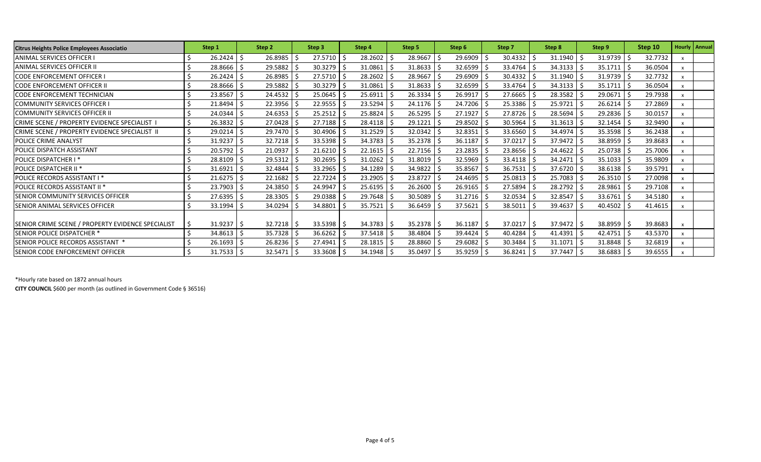| <b>Citrus Heights Police Employees Associatio</b> | Step 1       | Step 2         |      | Step 3                  |  | Step 4                  |    | Step 5       |     | Step 6       |  | Step 7                  |  | Step 8  |    | Step 9  | Step 10 |         | <b>Hourly   Annual</b> |
|---------------------------------------------------|--------------|----------------|------|-------------------------|--|-------------------------|----|--------------|-----|--------------|--|-------------------------|--|---------|----|---------|---------|---------|------------------------|
| ANIMAL SERVICES OFFICER I                         | $26.2424$ \$ | 26.8985        |      | $27.5710$ \$            |  | 28.2602                 |    | 28.9667      | 5 ا | 29.6909      |  | $30.4332$ \$            |  | 31.1940 |    | 31.9739 |         | 32.7732 |                        |
| ANIMAL SERVICES OFFICER II                        | 28.8666 \$   | 29.5882        |      | $30.3279$ \$            |  | 31.0861                 |    | $31.8633$ \$ |     | 32.6599      |  | $33.4764$ \$            |  | 34.3133 |    | 35.1711 |         | 36.0504 |                        |
| <b>CODE ENFORCEMENT OFFICER I</b>                 | $26.2424$ \$ | 26.8985        |      | $27.5710$ \$            |  | 28.2602                 |    | 28.9667      |     | 29.6909      |  | $30.4332$ \$            |  | 31.1940 |    | 31.9739 |         | 32.7732 |                        |
| <b>CODE ENFORCEMENT OFFICER II</b>                | 28.8666      | 29.5882        |      | $30.3279$ \$            |  | 31.0861                 | S. | $31.8633$ \$ |     | 32.6599      |  | 33.4764 \$              |  | 34.3133 |    | 35.1711 |         | 36.0504 |                        |
| <b>CODE ENFORCEMENT TECHNICIAN</b>                | 23.8567      | 24.4532        | l \$ | $25.0645$ \$            |  | 25.6911                 | -S | $26.3334$ \$ |     | 26.9917      |  | $27.6665$ \$            |  | 28.3582 |    | 29.0671 |         | 29.7938 |                        |
| <b>COMMUNITY SERVICES OFFICER I</b>               | $21.8494$ \$ | 22.3956        |      | $22.9555$ \$            |  | $23.5294$ \$            |    | $24.1176$ \$ |     | 24.7206 \$   |  | $25.3386$   \$          |  | 25.9721 |    | 26.6214 |         | 27.2869 |                        |
| <b>COMMUNITY SERVICES OFFICER II</b>              | 24.0344 \$   | 24.6353        |      | $25.2512$ \$            |  | 25.8824                 |    | $26.5295$ \$ |     | 27.1927      |  | $27.8726$ \$            |  | 28.5694 |    | 29.2836 |         | 30.0157 |                        |
| CRIME SCENE / PROPERTY EVIDENCE SPECIALIST        | $26.3832$ \$ | 27.0428        |      | $27.7188$ \$            |  | $28.4118$ \$            |    | $29.1221$ \$ |     | 29.8502      |  | $30.5964$ \$            |  | 31.3613 |    | 32.1454 |         | 32.9490 |                        |
| CRIME SCENE / PROPERTY EVIDENCE SPECIALIST II     | $29.0214$ \$ | $29.7470$ \$   |      | 30.4906 \$              |  | 31.2529                 |    | $32.0342$ \$ |     | $32.8351$ \$ |  | 33.6560 \$              |  | 34.4974 |    | 35.3598 |         | 36.2438 |                        |
| <b>POLICE CRIME ANALYST</b>                       | $31.9237$ \$ | $32.7218$ \$   |      | $33.5398$ \$            |  | $34.3783$ \$            |    | $35.2378$ \$ |     | $36.1187$ \$ |  | 37.0217 \$              |  | 37.9472 |    | 38.8959 |         | 39.8683 |                        |
| <b>POLICE DISPATCH ASSISTANT</b>                  | 20.5792      | 21.0937        |      | $21.6210$ \$            |  | 22.1615                 |    | $22.7156$ \$ |     | 23.2835      |  | $23.8656$ \$            |  | 24.4622 |    | 25.0738 |         | 25.7006 |                        |
| <b>POLICE DISPATCHER I*</b>                       | 28.8109      | 29.5312        |      | $30.2695$ \$            |  | 31.0262                 |    | $31.8019$ \$ |     | 32.5969      |  | $33.4118$ \$            |  | 34.2471 |    | 35.1033 |         | 35.9809 |                        |
| <b>POLICE DISPATCHER II<sup>*</sup></b>           | $31.6921$ \$ | 32.4844        |      | $33.2965$ \$            |  | 34.1289                 |    | $34.9822$ \$ |     | 35.8567      |  | $36.7531$ \$            |  | 37.6720 |    | 38.6138 |         | 39.5791 |                        |
| <b>POLICE RECORDS ASSISTANT I *</b>               | $21.6275$ \$ | 22.1682        |      | 22.7224                 |  | 23.2905                 |    | 23.8727 \$   |     | $24.4695$ \$ |  | $25.0813$ \$            |  | 25.7083 |    | 26.3510 |         | 27.0098 |                        |
| <b>POLICE RECORDS ASSISTANT II *</b>              | $23.7903$ \$ | 24.3850        | ı s  | 24.9947 \$              |  | $25.6195$ $\frac{1}{5}$ |    | 26.2600 \$   |     | $26.9165$ \$ |  | $27.5894$ \$            |  | 28.2792 |    | 28.9861 |         | 29.7108 |                        |
| <b>SENIOR COMMUNITY SERVICES OFFICER</b>          | 27.6395      | 28.3305        |      | $29.0388$ \$            |  | 29.7648                 |    | $30.5089$ \$ |     | $31.2716$ \$ |  | $32.0534$ \$            |  | 32.8547 |    | 33.6761 |         | 34.5180 |                        |
| <b>SENIOR ANIMAL SERVICES OFFICER</b>             | $33.1994$ \$ | 34.0294        |      | 34.8801 \$              |  | 35.7521                 |    | 36.6459 \$   |     | 37.5621      |  | $38.5011$ \$            |  | 39.4637 |    | 40.4502 |         | 41.4615 |                        |
|                                                   |              |                |      |                         |  |                         |    |              |     |              |  |                         |  |         |    |         |         |         |                        |
| SENIOR CRIME SCENE / PROPERTY EVIDENCE SPECIALIST | $31.9237$ \$ | $32.7218$   \$ |      | $33.5398$ $\frac{1}{5}$ |  | 34.3783                 | -S | $35.2378$ \$ |     | 36.1187      |  | $37.0217$ $\frac{2}{5}$ |  | 37.9472 | -S | 38.8959 |         | 39.8683 |                        |
| <b>SENIOR POLICE DISPATCHER *</b>                 | 34.8613      | 35.7328        | l S  | $36.6262$ \$            |  | $37.5418$ \$            |    | 38.4804 \$   |     | 39.4424      |  | $40.4284$ \$            |  | 41.4391 |    | 42.4751 |         | 43.5370 |                        |
| SENIOR POLICE RECORDS ASSISTANT *                 | $26.1693$ \$ | $26.8236$ \$   |      | $27.4941$ \$            |  | $28.1815$ \$            |    | 28.8860 \$   |     | $29.6082$ \$ |  | $30.3484$ \$            |  | 31.1071 |    | 31.8848 |         | 32.6819 |                        |
| <b>SENIOR CODE ENFORCEMENT OFFICER</b>            | $31.7533$ \$ | 32.5471        |      | $33.3608$ \$            |  | 34.1948                 |    | 35.0497 \$   |     | $35.9259$ \$ |  | $36.8241$ \$            |  | 37.7447 |    | 38.6883 |         | 39.6555 |                        |

\*Hourly rate based on 1872 annual hours

**CITY COUNCIL** \$600 per month (as outlined in Government Code § 36516)